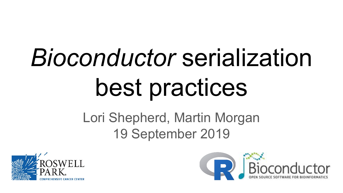# *Bioconductor* serialization best practices

# Lori Shepherd, Martin Morgan 19 September 2019



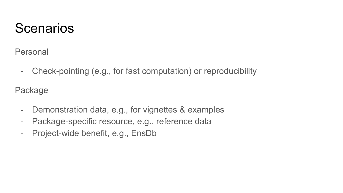## **Scenarios**

Personal

- Check-pointing (e.g., for fast computation) or reproducibility

Package

- Demonstration data, e.g., for vignettes & examples
- Package-specific resource, e.g., reference data
- Project-wide benefit, e.g., EnsDb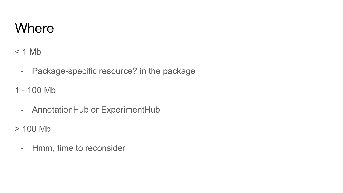### **Where**

 $< 1$  Mb

- Package-specific resource? in the package
- 1 100 Mb
	- AnnotationHub or ExperimentHub
- > 100 Mb
	- Hmm, time to reconsider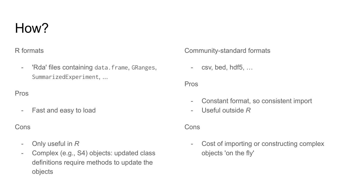### How?

#### R formats

- 'Rda' files containing data.frame, GRanges, SummarizedExperiment, ...

#### Pros

- Fast and easy to load

#### Cons

- Only useful in *R*
- Complex (e.g., S4) objects: updated class definitions require methods to update the objects

#### Community-standard formats

- csv, bed, hdf5, …

#### Pros

- Constant format, so consistent import
- Useful outside *R*

#### Cons

- Cost of importing or constructing complex objects 'on the fly'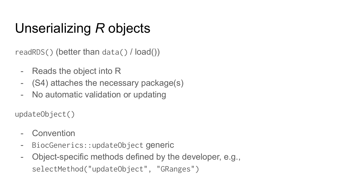# Unserializing *R* objects

readRDS() (better than data() / load())

- Reads the object into R
- (S4) attaches the necessary package(s)
- No automatic validation or updating

updateObject()

- Convention
- BiocGenerics::updateObject generic
- Object-specific methods defined by the developer, e.g., selectMethod("updateObject", "GRanges")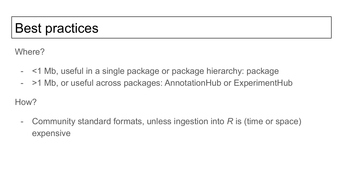# Best practices

Where?

- <1 Mb, useful in a single package or package hierarchy: package
- >1 Mb, or useful across packages: AnnotationHub or ExperimentHub

How?

- Community standard formats, unless ingestion into *R* is (time or space) expensive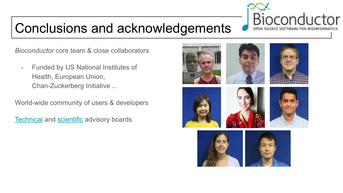# Conclusions and acknowledgements

*Bioconductor* core team & close collaborators

- Funded by US National Institutes of Health, European Union, Chan-Zuckerberg Initiative ...

World-wide community of users & developers

**[Technical](http://bioconductor.org/about/technical-advisory-board/) and [scientific](http://bioconductor.org/about/scientific-advisory-board/) advisory boards**